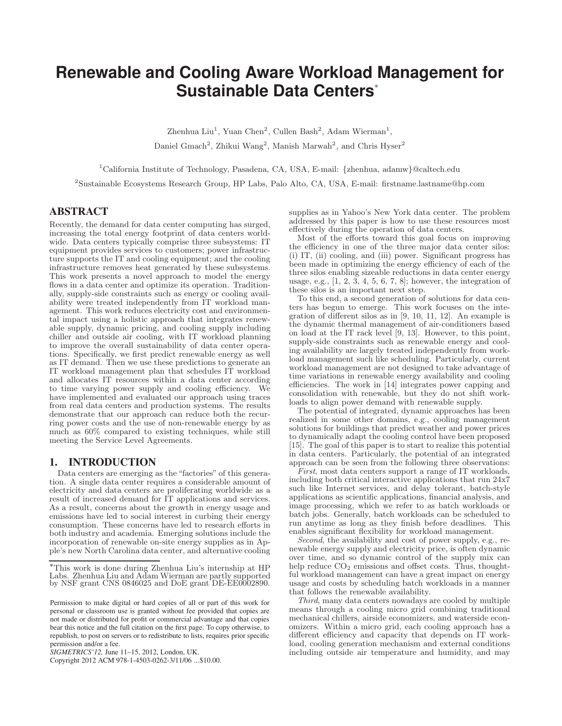# **Renewable and Cooling Aware Workload Management for Sustainable Data Centers**<sup>∗</sup>

Zhenhua Liu<sup>1</sup>, Yuan Chen<sup>2</sup>, Cullen Bash<sup>2</sup>, Adam Wierman<sup>1</sup>, Daniel Gmach<sup>2</sup>, Zhikui Wang<sup>2</sup>, Manish Marwah<sup>2</sup>, and Chris Hyser<sup>2</sup>

<sup>1</sup>California Institute of Technology, Pasadena, CA, USA, E-mail: {zhenhua, adamw}@caltech.edu

2 Sustainable Ecosystems Research Group, HP Labs, Palo Alto, CA, USA, E-mail: firstname.lastname@hp.com

# ABSTRACT

Recently, the demand for data center computing has surged, increasing the total energy footprint of data centers worldwide. Data centers typically comprise three subsystems: IT equipment provides services to customers; power infrastructure supports the IT and cooling equipment; and the cooling infrastructure removes heat generated by these subsystems. This work presents a novel approach to model the energy flows in a data center and optimize its operation. Traditionally, supply-side constraints such as energy or cooling availability were treated independently from IT workload management. This work reduces electricity cost and environmental impact using a holistic approach that integrates renewable supply, dynamic pricing, and cooling supply including chiller and outside air cooling, with IT workload planning to improve the overall sustainability of data center operations. Specifically, we first predict renewable energy as well as IT demand. Then we use these predictions to generate an IT workload management plan that schedules IT workload and allocates IT resources within a data center according to time varying power supply and cooling efficiency. We have implemented and evaluated our approach using traces from real data centers and production systems. The results demonstrate that our approach can reduce both the recurring power costs and the use of non-renewable energy by as much as 60% compared to existing techniques, while still meeting the Service Level Agreements.

# 1. INTRODUCTION

Data centers are emerging as the "factories" of this generation. A single data center requires a considerable amount of electricity and data centers are proliferating worldwide as a result of increased demand for IT applications and services. As a result, concerns about the growth in energy usage and emissions have led to social interest in curbing their energy consumption. These concerns have led to research efforts in both industry and academia. Emerging solutions include the incorporation of renewable on-site energy supplies as in Apple's new North Carolina data center, and alternative cooling

Copyright 2012 ACM 978-1-4503-0262-3/11/06 ...\$10.00.

supplies as in Yahoo's New York data center. The problem addressed by this paper is how to use these resources most effectively during the operation of data centers.

Most of the efforts toward this goal focus on improving the efficiency in one of the three major data center silos: (i) IT, (ii) cooling, and (iii) power. Significant progress has been made in optimizing the energy efficiency of each of the three silos enabling sizeable reductions in data center energy usage, e.g.,  $[1, 2, 3, 4, 5, 6, 7, 8]$ ; however, the integration of these silos is an important next step.

To this end, a second generation of solutions for data centers has begun to emerge. This work focuses on the integration of different silos as in [9, 10, 11, 12]. An example is the dynamic thermal management of air-conditioners based on load at the IT rack level [9, 13]. However, to this point, supply-side constraints such as renewable energy and cooling availability are largely treated independently from workload management such like scheduling. Particularly, current workload management are not designed to take advantage of time variations in renewable energy availability and cooling efficiencies. The work in [14] integrates power capping and consolidation with renewable, but they do not shift workloads to align power demand with renewable supply.

The potential of integrated, dynamic approaches has been realized in some other domains, e.g., cooling management solutions for buildings that predict weather and power prices to dynamically adapt the cooling control have been proposed [15]. The goal of this paper is to start to realize this potential in data centers. Particularly, the potential of an integrated approach can be seen from the following three observations:

First, most data centers support a range of IT workloads, including both critical interactive applications that run 24x7 such like Internet services, and delay tolerant, batch-style applications as scientific applications, financial analysis, and image processing, which we refer to as batch workloads or batch jobs. Generally, batch workloads can be scheduled to run anytime as long as they finish before deadlines. This enables significant flexibility for workload management.

Second, the availability and cost of power supply, e.g., renewable energy supply and electricity price, is often dynamic over time, and so dynamic control of the supply mix can help reduce  $CO<sub>2</sub>$  emissions and offset costs. Thus, thoughtful workload management can have a great impact on energy usage and costs by scheduling batch workloads in a manner that follows the renewable availability.

Third, many data centers nowadays are cooled by multiple means through a cooling micro grid combining traditional mechanical chillers, airside economizers, and waterside economizers. Within a micro grid, each cooling approach has a different efficiency and capacity that depends on IT workload, cooling generation mechanism and external conditions including outside air temperature and humidity, and may

<sup>∗</sup>This work is done during Zhenhua Liu's internship at HP Labs. Zhenhua Liu and Adam Wierman are partly supported by NSF grant CNS 0846025 and DoE grant DE-EE0002890.

Permission to make digital or hard copies of all or part of this work for personal or classroom use is granted without fee provided that copies are not made or distributed for profit or commercial advantage and that copies bear this notice and the full citation on the first page. To copy otherwise, to republish, to post on servers or to redistribute to lists, requires prior specific permission and/or a fee.

*SIGMETRICS'12,* June 11–15, 2012, London, UK.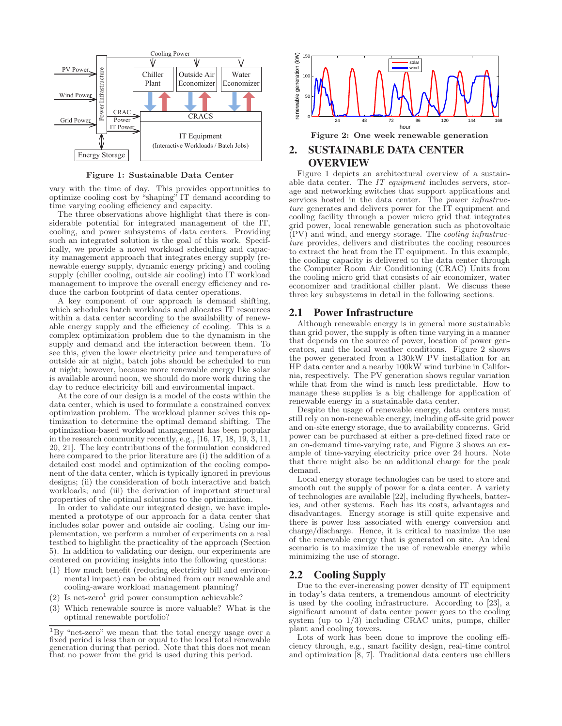

Figure 1: Sustainable Data Center

vary with the time of day. This provides opportunities to optimize cooling cost by "shaping" IT demand according to time varying cooling efficiency and capacity.

The three observations above highlight that there is considerable potential for integrated management of the IT, cooling, and power subsystems of data centers. Providing such an integrated solution is the goal of this work. Specifically, we provide a novel workload scheduling and capacity management approach that integrates energy supply (renewable energy supply, dynamic energy pricing) and cooling supply (chiller cooling, outside air cooling) into IT workload management to improve the overall energy efficiency and reduce the carbon footprint of data center operations.

A key component of our approach is demand shifting, which schedules batch workloads and allocates IT resources within a data center according to the availability of renewable energy supply and the efficiency of cooling. This is a complex optimization problem due to the dynamism in the supply and demand and the interaction between them. To see this, given the lower electricity price and temperature of outside air at night, batch jobs should be scheduled to run at night; however, because more renewable energy like solar is available around noon, we should do more work during the day to reduce electricity bill and environmental impact.

At the core of our design is a model of the costs within the data center, which is used to formulate a constrained convex optimization problem. The workload planner solves this optimization to determine the optimal demand shifting. The optimization-based workload management has been popular in the research community recently, e.g.,  $[16, 17, 18, 19, 3, 11,$ 20, 21]. The key contributions of the formulation considered here compared to the prior literature are (i) the addition of a detailed cost model and optimization of the cooling component of the data center, which is typically ignored in previous designs; (ii) the consideration of both interactive and batch workloads; and (iii) the derivation of important structural properties of the optimal solutions to the optimization.

In order to validate our integrated design, we have implemented a prototype of our approach for a data center that includes solar power and outside air cooling. Using our implementation, we perform a number of experiments on a real testbed to highlight the practicality of the approach (Section 5). In addition to validating our design, our experiments are centered on providing insights into the following questions:

- (1) How much benefit (reducing electricity bill and environmental impact) can be obtained from our renewable and cooling-aware workload management planning?
- $(2)$  Is net-zero<sup>1</sup> grid power consumption achievable?
- (3) Which renewable source is more valuable? What is the optimal renewable portfolio?



# 2. SUSTAINABLE DATA CENTER OVERVIEW

Figure 1 depicts an architectural overview of a sustainable data center. The IT equipment includes servers, storage and networking switches that support applications and services hosted in the data center. The *power infrastruc*ture generates and delivers power for the IT equipment and cooling facility through a power micro grid that integrates grid power, local renewable generation such as photovoltaic (PV) and wind, and energy storage. The cooling infrastructure provides, delivers and distributes the cooling resources to extract the heat from the IT equipment. In this example, the cooling capacity is delivered to the data center through the Computer Room Air Conditioning (CRAC) Units from the cooling micro grid that consists of air economizer, water economizer and traditional chiller plant. We discuss these three key subsystems in detail in the following sections.

## 2.1 Power Infrastructure

Although renewable energy is in general more sustainable than grid power, the supply is often time varying in a manner that depends on the source of power, location of power generators, and the local weather conditions. Figure 2 shows the power generated from a 130kW PV installation for an HP data center and a nearby 100kW wind turbine in California, respectively. The PV generation shows regular variation while that from the wind is much less predictable. How to manage these supplies is a big challenge for application of renewable energy in a sustainable data center.

Despite the usage of renewable energy, data centers must still rely on non-renewable energy, including off-site grid power and on-site energy storage, due to availability concerns. Grid power can be purchased at either a pre-defined fixed rate or an on-demand time-varying rate, and Figure 3 shows an example of time-varying electricity price over 24 hours. Note that there might also be an additional charge for the peak demand.

Local energy storage technologies can be used to store and smooth out the supply of power for a data center. A variety of technologies are available [22], including flywheels, batteries, and other systems. Each has its costs, advantages and disadvantages. Energy storage is still quite expensive and there is power loss associated with energy conversion and charge/discharge. Hence, it is critical to maximize the use of the renewable energy that is generated on site. An ideal scenario is to maximize the use of renewable energy while minimizing the use of storage.

## 2.2 Cooling Supply

Due to the ever-increasing power density of IT equipment in today's data centers, a tremendous amount of electricity is used by the cooling infrastructure. According to [23], a significant amount of data center power goes to the cooling system (up to 1/3) including CRAC units, pumps, chiller plant and cooling towers.

Lots of work has been done to improve the cooling efficiency through, e.g., smart facility design, real-time control and optimization [8, 7]. Traditional data centers use chillers

<sup>1</sup>By "net-zero" we mean that the total energy usage over a fixed period is less than or equal to the local total renewable generation during that period. Note that this does not mean that no power from the grid is used during this period.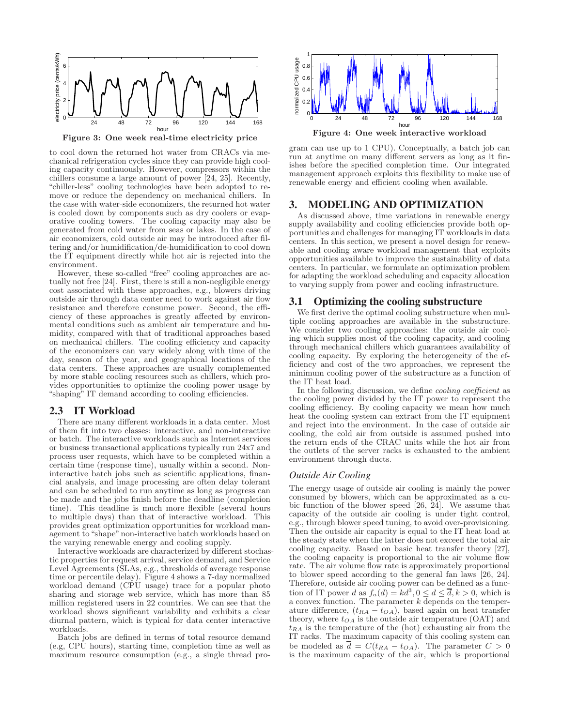

Figure 3: One week real-time electricity price

to cool down the returned hot water from CRACs via mechanical refrigeration cycles since they can provide high cooling capacity continuously. However, compressors within the chillers consume a large amount of power [24, 25]. Recently, "chiller-less" cooling technologies have been adopted to remove or reduce the dependency on mechanical chillers. In the case with water-side economizers, the returned hot water is cooled down by components such as dry coolers or evaporative cooling towers. The cooling capacity may also be generated from cold water from seas or lakes. In the case of air economizers, cold outside air may be introduced after filtering and/or humidification/de-humidification to cool down the IT equipment directly while hot air is rejected into the environment.

However, these so-called "free" cooling approaches are actually not free [24]. First, there is still a non-negligible energy cost associated with these approaches, e.g., blowers driving outside air through data center need to work against air flow resistance and therefore consume power. Second, the efficiency of these approaches is greatly affected by environmental conditions such as ambient air temperature and humidity, compared with that of traditional approaches based on mechanical chillers. The cooling efficiency and capacity of the economizers can vary widely along with time of the day, season of the year, and geographical locations of the data centers. These approaches are usually complemented by more stable cooling resources such as chillers, which provides opportunities to optimize the cooling power usage by "shaping" IT demand according to cooling efficiencies.

# 2.3 IT Workload

There are many different workloads in a data center. Most of them fit into two classes: interactive, and non-interactive or batch. The interactive workloads such as Internet services or business transactional applications typically run 24x7 and process user requests, which have to be completed within a certain time (response time), usually within a second. Noninteractive batch jobs such as scientific applications, financial analysis, and image processing are often delay tolerant and can be scheduled to run anytime as long as progress can be made and the jobs finish before the deadline (completion time). This deadline is much more flexible (several hours to multiple days) than that of interactive workload. This provides great optimization opportunities for workload management to "shape" non-interactive batch workloads based on the varying renewable energy and cooling supply.

Interactive workloads are characterized by different stochastic properties for request arrival, service demand, and Service Level Agreements (SLAs, e.g., thresholds of average response time or percentile delay). Figure 4 shows a 7-day normalized workload demand (CPU usage) trace for a popular photo sharing and storage web service, which has more than 85 million registered users in 22 countries. We can see that the workload shows significant variability and exhibits a clear diurnal pattern, which is typical for data center interactive workloads.

Batch jobs are defined in terms of total resource demand (e.g, CPU hours), starting time, completion time as well as maximum resource consumption (e.g., a single thread pro-



Figure 4: One week interactive workload

gram can use up to 1 CPU). Conceptually, a batch job can run at anytime on many different servers as long as it finishes before the specified completion time. Our integrated management approach exploits this flexibility to make use of renewable energy and efficient cooling when available.

# 3. MODELING AND OPTIMIZATION

As discussed above, time variations in renewable energy supply availability and cooling efficiencies provide both opportunities and challenges for managing IT workloads in data centers. In this section, we present a novel design for renewable and cooling aware workload management that exploits opportunities available to improve the sustainability of data centers. In particular, we formulate an optimization problem for adapting the workload scheduling and capacity allocation to varying supply from power and cooling infrastructure.

## 3.1 Optimizing the cooling substructure

We first derive the optimal cooling substructure when multiple cooling approaches are available in the substructure. We consider two cooling approaches: the outside air cooling which supplies most of the cooling capacity, and cooling through mechanical chillers which guarantees availability of cooling capacity. By exploring the heterogeneity of the efficiency and cost of the two approaches, we represent the minimum cooling power of the substructure as a function of the IT heat load.

In the following discussion, we define *cooling coefficient* as the cooling power divided by the IT power to represent the cooling efficiency. By cooling capacity we mean how much heat the cooling system can extract from the IT equipment and reject into the environment. In the case of outside air cooling, the cold air from outside is assumed pushed into the return ends of the CRAC units while the hot air from the outlets of the server racks is exhausted to the ambient environment through ducts.

#### *Outside Air Cooling*

The energy usage of outside air cooling is mainly the power consumed by blowers, which can be approximated as a cubic function of the blower speed [26, 24]. We assume that capacity of the outside air cooling is under tight control, e.g., through blower speed tuning, to avoid over-provisioning. Then the outside air capacity is equal to the IT heat load at the steady state when the latter does not exceed the total air cooling capacity. Based on basic heat transfer theory [27], the cooling capacity is proportional to the air volume flow rate. The air volume flow rate is approximately proportional to blower speed according to the general fan laws [26, 24]. Therefore, outside air cooling power can be defined as a function of IT power d as  $f_a(d) = kd^3$ ,  $0 \le d \le \overline{d}$ ,  $k > 0$ , which is a convex function. The parameter  $k$  depends on the temperature difference,  $(t_{RA} - t_{OA})$ , based again on heat transfer theory, where  $t_{OA}$  is the outside air temperature (OAT) and  $t_{RA}$  is the temperature of the (hot) exhausting air from the IT racks. The maximum capacity of this cooling system can be modeled as  $\overline{d} = C(t_{RA} - t_{OA})$ . The parameter  $C > 0$ is the maximum capacity of the air, which is proportional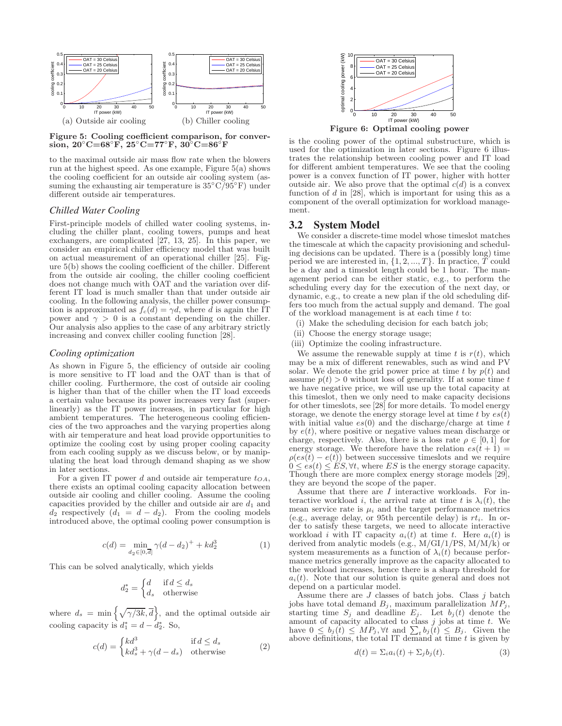

Figure 5: Cooling coefficient comparison, for conversion, 20°C=68°F, 25°C=77°F, 30°C=86°F

to the maximal outside air mass flow rate when the blowers run at the highest speed. As one example, Figure 5(a) shows the cooling coefficient for an outside air cooling system (assuming the exhausting air temperature is  $35\degree \text{C}/95\degree \text{F}$ ) under different outside air temperatures.

## *Chilled Water Cooling*

First-principle models of chilled water cooling systems, including the chiller plant, cooling towers, pumps and heat exchangers, are complicated [27, 13, 25]. In this paper, we consider an empirical chiller efficiency model that was built on actual measurement of an operational chiller [25]. Figure 5(b) shows the cooling coefficient of the chiller. Different from the outside air cooling, the chiller cooling coefficient does not change much with OAT and the variation over different IT load is much smaller than that under outside air cooling. In the following analysis, the chiller power consumption is approximated as  $f_c(d) = \gamma d$ , where d is again the IT power and  $\gamma > 0$  is a constant depending on the chiller. Our analysis also applies to the case of any arbitrary strictly increasing and convex chiller cooling function [28].

## *Cooling optimization*

As shown in Figure 5, the efficiency of outside air cooling is more sensitive to IT load and the OAT than is that of chiller cooling. Furthermore, the cost of outside air cooling is higher than that of the chiller when the IT load exceeds a certain value because its power increases very fast (superlinearly) as the IT power increases, in particular for high ambient temperatures. The heterogeneous cooling efficiencies of the two approaches and the varying properties along with air temperature and heat load provide opportunities to optimize the cooling cost by using proper cooling capacity from each cooling supply as we discuss below, or by manipulating the heat load through demand shaping as we show in later sections.

For a given IT power  $d$  and outside air temperature  $t_{OA}$ , there exists an optimal cooling capacity allocation between outside air cooling and chiller cooling. Assume the cooling capacities provided by the chiller and outside air are  $d_1$  and  $d_2$  respectively  $(d_1 = d - d_2)$ . From the cooling models introduced above, the optimal cooling power consumption is

$$
c(d) = \min_{d_2 \in [0, \overline{d}]} \gamma(d - d_2)^+ + kd_2^3 \tag{1}
$$

This can be solved analytically, which yields

$$
d_2^* = \begin{cases} d & \text{if } d \le d_s \\ d_s & \text{otherwise} \end{cases}
$$

where  $d_s = \min \left\{ \sqrt{\gamma/3k}, \overline{d} \right\}$ , and the optimal outside air cooling capacity is  $d_1^* = d - d_2^*$ . So,

$$
c(d) = \begin{cases} kd^3 & \text{if } d \leq d_s \\ kd_s^3 + \gamma(d - d_s) & \text{otherwise} \end{cases}
$$
 (2)



Figure 6: Optimal cooling power

is the cooling power of the optimal substructure, which is used for the optimization in later sections. Figure 6 illustrates the relationship between cooling power and IT load for different ambient temperatures. We see that the cooling power is a convex function of IT power, higher with hotter outside air. We also prove that the optimal  $c(d)$  is a convex function of  $d$  in [28], which is important for using this as a component of the overall optimization for workload management.

#### 3.2 System Model

We consider a discrete-time model whose timeslot matches the timescale at which the capacity provisioning and scheduling decisions can be updated. There is a (possibly long) time period we are interested in,  $\{1, 2, ..., T\}$ . In practice,  $\overline{T}$  could be a day and a timeslot length could be 1 hour. The management period can be either static, e.g., to perform the scheduling every day for the execution of the next day, or dynamic, e.g., to create a new plan if the old scheduling differs too much from the actual supply and demand. The goal of the workload management is at each time  $t$  to:

- (i) Make the scheduling decision for each batch job;
- (ii) Choose the energy storage usage;
- (iii) Optimize the cooling infrastructure.

We assume the renewable supply at time t is  $r(t)$ , which may be a mix of different renewables, such as wind and PV solar. We denote the grid power price at time  $t$  by  $p(t)$  and assume  $p(t) > 0$  without loss of generality. If at some time t we have negative price, we will use up the total capacity at this timeslot, then we only need to make capacity decisions for other timeslots, see [28] for more details. To model energy storage, we denote the energy storage level at time t by  $es(t)$ with initial value  $es(0)$  and the discharge/charge at time t by  $e(t)$ , where positive or negative values mean discharge or charge, respectively. Also, there is a loss rate  $\rho \in [0, 1]$  for energy storage. We therefore have the relation  $es(t + 1) =$  $\rho(es(t)-e(t))$  between successive timeslots and we require  $0 \leq es(t) \leq ES, \forall t$ , where ES is the energy storage capacity. Though there are more complex energy storage models [29], they are beyond the scope of the paper.

Assume that there are I interactive workloads. For interactive workload i, the arrival rate at time t is  $\lambda_i(t)$ , the mean service rate is  $\mu_i$  and the target performance metrics (e.g., average delay, or 95th percentile delay) is  $rt_i$ . In order to satisfy these targets, we need to allocate interactive workload *i* with IT capacity  $a_i(t)$  at time *t*. Here  $a_i(t)$  is derived from analytic models (e.g., M/GI/1/PS, M/M/k) or system measurements as a function of  $\lambda_i(t)$  because performance metrics generally improve as the capacity allocated to the workload increases, hence there is a sharp threshold for  $a_i(t)$ . Note that our solution is quite general and does not depend on a particular model.

Assume there are  $J$  classes of batch jobs. Class  $j$  batch jobs have total demand  $B_j$ , maximum parallelization  $MP_j$ , starting time  $S_j$  and deadline  $E_j$ . Let  $b_j(t)$  denote the amount of capacity allocated to class  $j$  jobs at time  $t$ . We have  $0 \leq b_j(t) \leq MP_j, \forall t \text{ and } \sum_t b_j(t) \leq B_j$ . Given the above definitions, the total IT demand at time  $t$  is given by

$$
d(t) = \sum_i a_i(t) + \sum_j b_j(t). \tag{3}
$$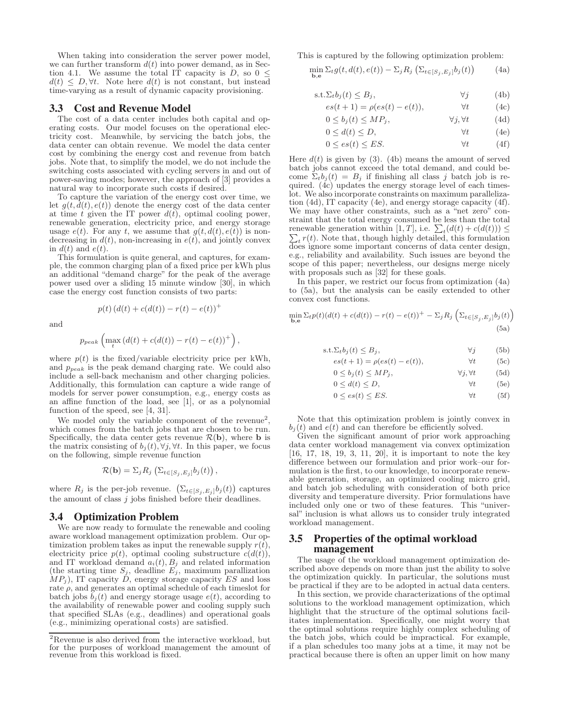When taking into consideration the server power model, we can further transform  $d(t)$  into power demand, as in Section 4.1. We assume the total IT capacity is  $D$ , so  $0 \leq$  $d(t) \leq D, \forall t$ . Note here  $d(t)$  is not constant, but instead time-varying as a result of dynamic capacity provisioning.

## 3.3 Cost and Revenue Model

The cost of a data center includes both capital and operating costs. Our model focuses on the operational electricity cost. Meanwhile, by servicing the batch jobs, the data center can obtain revenue. We model the data center cost by combining the energy cost and revenue from batch jobs. Note that, to simplify the model, we do not include the switching costs associated with cycling servers in and out of power-saving modes; however, the approach of [3] provides a natural way to incorporate such costs if desired.

To capture the variation of the energy cost over time, we let  $g(t, d(t), e(t))$  denote the energy cost of the data center at time t given the IT power  $d(t)$ , optimal cooling power, renewable generation, electricity price, and energy storage usage  $e(t)$ . For any t, we assume that  $g(t, d(t), e(t))$  is nondecreasing in  $d(t)$ , non-increasing in  $e(t)$ , and jointly convex in  $d(t)$  and  $e(t)$ .

This formulation is quite general, and captures, for example, the common charging plan of a fixed price per kWh plus an additional "demand charge" for the peak of the average power used over a sliding 15 minute window [30], in which case the energy cost function consists of two parts:

and

$$
p(t) (d(t) + c(d(t)) - r(t) - e(t))^{+}
$$

$$
p_{peak}\left(\max_{t}\left(d(t)+c(d(t))-r(t)-e(t)\right)^{+}\right),\,
$$

where  $p(t)$  is the fixed/variable electricity price per kWh, and  $p_{peak}$  is the peak demand charging rate. We could also include a sell-back mechanism and other charging policies. Additionally, this formulation can capture a wide range of models for server power consumption, e.g., energy costs as an affine function of the load, see [1], or as a polynomial function of the speed, see [4, 31].

We model only the variable component of the revenue<sup>2</sup>, which comes from the batch jobs that are chosen to be run. Specifically, the data center gets revenue  $\mathcal{R}(\mathbf{b})$ , where **b** is the matrix consisting of  $b_i(t), \forall j, \forall t$ . In this paper, we focus on the following, simple revenue function

$$
\mathcal{R}(\mathbf{b}) = \sum_j R_j \left( \sum_{t \in [S_j, E_j]} b_j(t) \right),
$$

where  $R_j$  is the per-job revenue.  $(\sum_{t \in [S_j, E_j]} b_j(t))$  captures the amount of class  $j$  jobs finished before their deadlines.

## 3.4 Optimization Problem

We are now ready to formulate the renewable and cooling aware workload management optimization problem. Our optimization problem takes as input the renewable supply  $r(\bar{t})$ , electricity price  $p(t)$ , optimal cooling substructure  $c(d(t))$ , and IT workload demand  $a_i(t)$ ,  $B_j$  and related information (the starting time  $S_j$ , deadline  $E_j$ , maximum parallization  $MP<sub>j</sub>$ ), IT capacity D, energy storage capacity ES and loss rate  $\rho$ , and generates an optimal schedule of each timeslot for batch jobs  $b_j(t)$  and energy storage usage  $e(t)$ , according to the availability of renewable power and cooling supply such that specified SLAs (e.g., deadlines) and operational goals (e.g., minimizing operational costs) are satisfied.

This is captured by the following optimization problem:

$$
\min_{\mathbf{b},\mathbf{e}} \Sigma_t g(t, d(t), e(t)) - \Sigma_j R_j \left( \Sigma_{t \in [S_j, E_j]} b_j(t) \right) \tag{4a}
$$

$$
s.t. \Sigma_t b_j(t) \le B_j, \qquad \forall j \qquad (4b)
$$

$$
es(t+1) = \rho(es(t) - e(t)), \qquad \forall t \qquad (4c)
$$

$$
0 \le b_j(t) \le MP_j, \qquad \forall j, \forall t \tag{4d}
$$

$$
0 \le d(t) \le D,\t\t \forall t \t(4e)
$$

$$
0 \le es(t) \le ES. \tag{4f}
$$

Here  $d(t)$  is given by (3). (4b) means the amount of served batch jobs cannot exceed the total demand, and could become  $\Sigma_t b_j(t) = B_j$  if finishing all class j batch job is required. (4c) updates the energy storage level of each timeslot. We also incorporate constraints on maximum parallelization (4d), IT capacity (4e), and energy storage capacity (4f). We may have other constraints, such as a "net zero" constraint that the total energy consumed be less than the total renewable generation within [1, T], i.e.  $\sum_t (d(t) + c(d(t))) \leq$ Function of the property of the that, though highly detailed, this formulation  $\sum_t r(t)$ . Note that, though highly detailed, this formulation does ignore some important concerns of data center design, e.g., reliability and availability. Such issues are beyond the scope of this paper; nevertheless, our designs merge nicely with proposals such as [32] for these goals.

In this paper, we restrict our focus from optimization (4a) to (5a), but the analysis can be easily extended to other convex cost functions.

$$
\min_{\mathbf{b},\mathbf{e}} \Sigma_t p(t) (d(t) + c(d(t)) - r(t) - e(t))^+ - \Sigma_j R_j \left( \Sigma_{t \in [S_j, E_j]} b_j(t) \right)
$$
\n(5a)

$$
s.t. \Sigma_t b_j(t) \le B_j, \qquad \forall j \qquad (5b)
$$

$$
es(t+1) = \rho(es(t) - e(t)), \qquad \forall t \qquad (5c)
$$

$$
0 \leq \theta_j(t) \leq MT_j, \qquad \forall j, \forall t \qquad (5a)
$$
  

$$
0 \leq d(t) \leq D \qquad \forall t \qquad (5a)
$$

$$
0 \le a(t) \le D, \qquad \forall t \qquad (\exists e)
$$

$$
0 \le es(t) \le ES. \tag{5f}
$$

Note that this optimization problem is jointly convex in  $b_j(t)$  and  $e(t)$  and can therefore be efficiently solved.

Given the significant amount of prior work approaching data center workload management via convex optimization [16, 17, 18, 19, 3, 11, 20], it is important to note the key difference between our formulation and prior work–our formulation is the first, to our knowledge, to incorporate renewable generation, storage, an optimized cooling micro grid, and batch job scheduling with consideration of both price diversity and temperature diversity. Prior formulations have included only one or two of these features. This "universal" inclusion is what allows us to consider truly integrated workload management.

# 3.5 Properties of the optimal workload management

The usage of the workload management optimization described above depends on more than just the ability to solve the optimization quickly. In particular, the solutions must be practical if they are to be adopted in actual data centers.

In this section, we provide characterizations of the optimal solutions to the workload management optimization, which highlight that the structure of the optimal solutions facilitates implementation. Specifically, one might worry that the optimal solutions require highly complex scheduling of the batch jobs, which could be impractical. For example, if a plan schedules too many jobs at a time, it may not be practical because there is often an upper limit on how many

 $2R$ evenue is also derived from the interactive workload, but for the purposes of workload management the amount of revenue from this workload is fixed.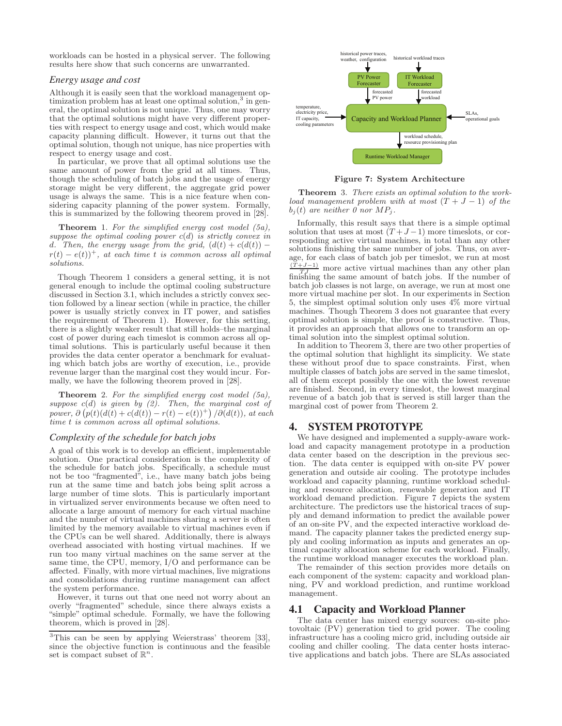workloads can be hosted in a physical server. The following results here show that such concerns are unwarranted.

## *Energy usage and cost*

Although it is easily seen that the workload management optimization problem has at least one optimal solution,<sup>3</sup> in general, the optimal solution is not unique. Thus, one may worry that the optimal solutions might have very different properties with respect to energy usage and cost, which would make capacity planning difficult. However, it turns out that the optimal solution, though not unique, has nice properties with respect to energy usage and cost.

In particular, we prove that all optimal solutions use the same amount of power from the grid at all times. Thus, though the scheduling of batch jobs and the usage of energy storage might be very different, the aggregate grid power usage is always the same. This is a nice feature when considering capacity planning of the power system. Formally, this is summarized by the following theorem proved in [28].

**Theorem** 1. For the simplified energy cost model  $(5a)$ , suppose the optimal cooling power  $c(d)$  is strictly convex in d. Then, the energy usage from the grid,  $(d(t) + c(d(t))$  $r(t) - e(t)$ <sup>+</sup>, at each time t is common across all optimal solutions.

Though Theorem 1 considers a general setting, it is not general enough to include the optimal cooling substructure discussed in Section 3.1, which includes a strictly convex section followed by a linear section (while in practice, the chiller power is usually strictly convex in IT power, and satisfies the requirement of Theorem 1). However, for this setting, there is a slightly weaker result that still holds–the marginal cost of power during each timeslot is common across all optimal solutions. This is particularly useful because it then provides the data center operator a benchmark for evaluating which batch jobs are worthy of execution, i.e., provide revenue larger than the marginal cost they would incur. Formally, we have the following theorem proved in [28].

**Theorem** 2. For the simplified energy cost model  $(5a)$ , suppose  $c(d)$  is given by  $(2)$ . Then, the marginal cost of power,  $\partial (p(t)(d(t) + c(d(t)) - r(t) - e(t))^+) / \partial (d(t)),$  at each time t is common across all optimal solutions.

#### *Complexity of the schedule for batch jobs*

A goal of this work is to develop an efficient, implementable solution. One practical consideration is the complexity of the schedule for batch jobs. Specifically, a schedule must not be too "fragmented", i.e., have many batch jobs being run at the same time and batch jobs being split across a large number of time slots. This is particularly important in virtualized server environments because we often need to allocate a large amount of memory for each virtual machine and the number of virtual machines sharing a server is often limited by the memory available to virtual machines even if the CPUs can be well shared. Additionally, there is always overhead associated with hosting virtual machines. If we run too many virtual machines on the same server at the same time, the CPU, memory, I/O and performance can be affected. Finally, with more virtual machines, live migrations and consolidations during runtime management can affect the system performance.

However, it turns out that one need not worry about an overly "fragmented" schedule, since there always exists a "simple" optimal schedule. Formally, we have the following theorem, which is proved in [28].



Figure 7: System Architecture

Theorem 3. There exists an optimal solution to the workload management problem with at most  $(T + J - 1)$  of the  $b_i(t)$  are neither 0 nor  $MP_i$ .

Informally, this result says that there is a simple optimal solution that uses at most  $(T+J-1)$  more timeslots, or corresponding active virtual machines, in total than any other solutions finishing the same number of jobs. Thus, on average, for each class of batch job per timeslot, we run at most  $\frac{(T+J-1)}{T}$  more active virtual machines than any other plan finishing the same amount of batch jobs. If the number of batch job classes is not large, on average, we run at most one more virtual machine per slot. In our experiments in Section 5, the simplest optimal solution only uses 4% more virtual machines. Though Theorem 3 does not guarantee that every optimal solution is simple, the proof is constructive. Thus, it provides an approach that allows one to transform an optimal solution into the simplest optimal solution.

In addition to Theorem 3, there are two other properties of the optimal solution that highlight its simplicity. We state these without proof due to space constraints. First, when multiple classes of batch jobs are served in the same timeslot, all of them except possibly the one with the lowest revenue are finished. Second, in every timeslot, the lowest marginal revenue of a batch job that is served is still larger than the marginal cost of power from Theorem 2.

# 4. SYSTEM PROTOTYPE

We have designed and implemented a supply-aware workload and capacity management prototype in a production data center based on the description in the previous section. The data center is equipped with on-site PV power generation and outside air cooling. The prototype includes workload and capacity planning, runtime workload scheduling and resource allocation, renewable generation and IT workload demand prediction. Figure 7 depicts the system architecture. The predictors use the historical traces of supply and demand information to predict the available power of an on-site PV, and the expected interactive workload demand. The capacity planner takes the predicted energy supply and cooling information as inputs and generates an optimal capacity allocation scheme for each workload. Finally, the runtime workload manager executes the workload plan.

The remainder of this section provides more details on each component of the system: capacity and workload planning, PV and workload prediction, and runtime workload management.

# 4.1 Capacity and Workload Planner

The data center has mixed energy sources: on-site photovoltaic (PV) generation tied to grid power. The cooling infrastructure has a cooling micro grid, including outside air cooling and chiller cooling. The data center hosts interactive applications and batch jobs. There are SLAs associated

<sup>3</sup>This can be seen by applying Weierstrass' theorem [33], since the objective function is continuous and the feasible set is compact subset of  $\mathbb{R}^n$ .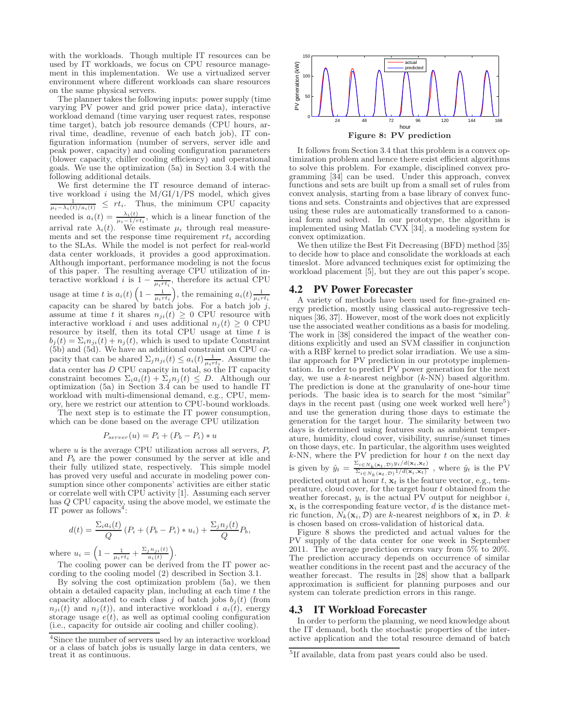with the workloads. Though multiple IT resources can be used by IT workloads, we focus on CPU resource management in this implementation. We use a virtualized server environment where different workloads can share resources on the same physical servers.

The planner takes the following inputs: power supply (time varying PV power and grid power price data), interactive workload demand (time varying user request rates, response time target), batch job resource demands (CPU hours, arrival time, deadline, revenue of each batch job), IT configuration information (number of servers, server idle and peak power, capacity) and cooling configuration parameters (blower capacity, chiller cooling efficiency) and operational goals. We use the optimization (5a) in Section 3.4 with the following additional details.

We first determine the IT resource demand of interactive workload  $i$  using the  $M/GI/1/PS$  model, which gives  $\frac{1}{\mu_i - \lambda_i(t)/a_i(t)} \leq rt_i$ . Thus, the minimum CPU capacity needed is  $a_i(t) = \frac{\lambda_i(t)}{\mu_i - 1/rt_i}$ , which is a linear function of the arrival rate  $\lambda_i(t)$ . We estimate  $\mu_i$  through real measurements and set the response time requirement  $rt_i$  according to the SLAs. While the model is not perfect for real-world data center workloads, it provides a good approximation. Although important, performance modeling is not the focus of this paper. The resulting average CPU utilization of interactive workload *i* is  $1 - \frac{1}{\mu_i r t_i}$ , therefore its actual CPU usage at time t is  $a_i(t) \left(1 - \frac{1}{\mu_i r t_i}\right)$ , the remaining  $a_i(t) \frac{1}{\mu_i r t_i}$ <br>capacity can be shared by batch jobs. For a batch job j, assume at time t it shares  $n_{ji}(t) \geq 0$  CPU resource with interactive workload i and uses additional  $n_j(t) \geq 0$  CPU resource by itself, then its total CPU usage at time  $t$  is  $b_i(t) = \sum_i n_{ii}(t) + n_i(t)$ , which is used to update Constraint (5b) and (5d). We have an additional constraint on CPU capacity that can be shared  $\sum_j n_{ji}(t) \leq a_i(t) \frac{1}{\mu_i r t_i}$ . Assume the data center has D CPU capacity in total, so the IT capacity constraint becomes  $\Sigma_i a_i(t) + \Sigma_j n_j(t) \leq D$ . Although our optimization (5a) in Section 3.4 can be used to handle IT workload with multi-dimensional demand, e.g., CPU, memory, here we restrict our attention to CPU-bound workloads.

The next step is to estimate the IT power consumption, which can be done based on the average CPU utilization

$$
P_{server}(u) = P_i + (P_b - P_i) * u
$$

where  $u$  is the average CPU utilization across all servers,  $P_i$ and  $P_b$  are the power consumed by the server at idle and their fully utilized state, respectively. This simple model has proved very useful and accurate in modeling power consumption since other components' activities are either static or correlate well with CPU activity [1]. Assuming each server has Q CPU capacity, using the above model, we estimate the IT power as follows<sup>4</sup>:

$$
d(t) = \frac{\sum_{i} a_i(t)}{Q} (P_i + (P_b - P_i) * u_i) + \frac{\sum_{j} n_j(t)}{Q} P_b,
$$

where  $u_i = \left(1 - \frac{1}{\mu_i r t_i} + \frac{\Sigma_j n_{ji}(t)}{a_i(t)}\right)$  $\frac{i n_{ji}(t)}{a_i(t)}\bigg).$ 

The cooling power can be derived from the IT power according to the cooling model (2) described in Section 3.1.

By solving the cost optimization problem (5a), we then obtain a detailed capacity plan, including at each time  $t$  the capacity allocated to each class j of batch jobs  $b_i(t)$  (from  $n_{ji}(t)$  and  $n_j(t)$ , and interactive workload i  $a_i(t)$ , energy storage usage  $e(t)$ , as well as optimal cooling configuration (i.e., capacity for outside air cooling and chiller cooling).



It follows from Section 3.4 that this problem is a convex optimization problem and hence there exist efficient algorithms to solve this problem. For example, disciplined convex programming [34] can be used. Under this approach, convex functions and sets are built up from a small set of rules from convex analysis, starting from a base library of convex functions and sets. Constraints and objectives that are expressed using these rules are automatically transformed to a canonical form and solved. In our prototype, the algorithm is implemented using Matlab CVX [34], a modeling system for convex optimization.

We then utilize the Best Fit Decreasing (BFD) method [35] to decide how to place and consolidate the workloads at each timeslot. More advanced techniques exist for optimizing the workload placement [5], but they are out this paper's scope.

# 4.2 PV Power Forecaster

A variety of methods have been used for fine-grained energy prediction, mostly using classical auto-regressive techniques [36, 37]. However, most of the work does not explicitly use the associated weather conditions as a basis for modeling. The work in [38] considered the impact of the weather conditions explicitly and used an SVM classifier in conjunction with a RBF kernel to predict solar irradiation. We use a similar approach for PV prediction in our prototype implementation. In order to predict PV power generation for the next day, we use a k-nearest neighbor  $(k-NN)$  based algorithm. The prediction is done at the granularity of one-hour time periods. The basic idea is to search for the most "similar" days in the recent past (using one week worked well here<sup>5</sup>) and use the generation during those days to estimate the generation for the target hour. The similarity between two days is determined using features such as ambient temperature, humidity, cloud cover, visibility, sunrise/sunset times on those days, etc. In particular, the algorithm uses weighted  $k$ -NN, where the PV prediction for hour t on the next day is given by  $\hat{y}_t = \frac{\sum_{i \in N_k(\mathbf{x}_t, \mathcal{D})} y_i/d(\mathbf{x}_i, \mathbf{x}_t)}{\sum_{i \in \mathcal{N}} y_i/d(\mathbf{x}_i, \mathbf{x}_i)}$  $\frac{\sum_{i\in N_k(\mathbf{x}_t,D)} s_i - \sum_{i\in N_k(\mathbf{x}_t,D)} s_i}{\sum_{i\in N_k(\mathbf{x}_t,D)} 1/d(\mathbf{x}_i,\mathbf{x}_t)}$ , where  $\hat{y}_t$  is the PV predicted output at hour  $t, x_t$  is the feature vector, e.g., temperature, cloud cover, for the target hour  $t$  obtained from the weather forecast,  $y_i$  is the actual PV output for neighbor  $i$ ,  $x_i$  is the corresponding feature vector, d is the distance metric function,  $N_k(\mathbf{x}_i, \mathcal{D})$  are k-nearest neighbors of  $\mathbf{x}_i$  in  $\mathcal{D}$ . k is chosen based on cross-validation of historical data.

Figure 8 shows the predicted and actual values for the PV supply of the data center for one week in September 2011. The average prediction errors vary from 5% to 20%. The prediction accuracy depends on occurrence of similar weather conditions in the recent past and the accuracy of the weather forecast. The results in [28] show that a ballpark approximation is sufficient for planning purposes and our system can tolerate prediction errors in this range.

## 4.3 IT Workload Forecaster

In order to perform the planning, we need knowledge about the IT demand, both the stochastic properties of the interactive application and the total resource demand of batch

<sup>4</sup> Since the number of servers used by an interactive workload or a class of batch jobs is usually large in data centers, we treat it as continuous.

<sup>&</sup>lt;sup>5</sup>If available, data from past years could also be used.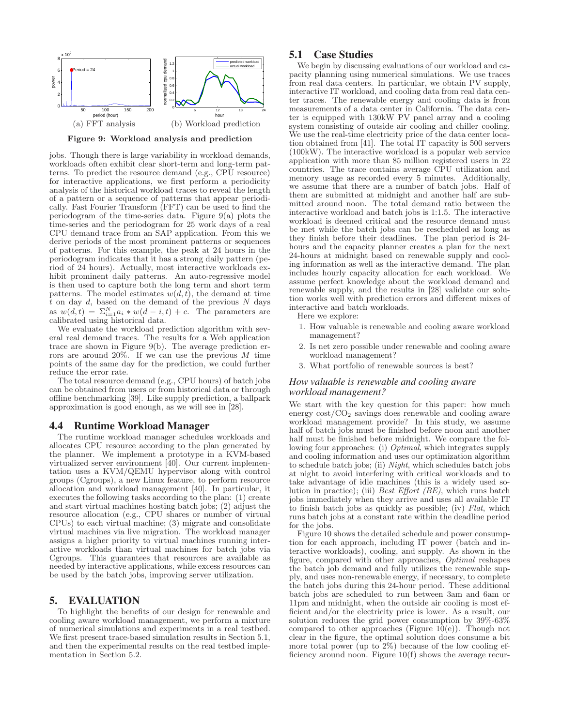

Figure 9: Workload analysis and prediction

jobs. Though there is large variability in workload demands, workloads often exhibit clear short-term and long-term patterns. To predict the resource demand (e.g., CPU resource) for interactive applications, we first perform a periodicity analysis of the historical workload traces to reveal the length of a pattern or a sequence of patterns that appear periodically. Fast Fourier Transform (FFT) can be used to find the periodogram of the time-series data. Figure 9(a) plots the time-series and the periodogram for 25 work days of a real CPU demand trace from an SAP application. From this we derive periods of the most prominent patterns or sequences of patterns. For this example, the peak at 24 hours in the periodogram indicates that it has a strong daily pattern (period of 24 hours). Actually, most interactive workloads exhibit prominent daily patterns. An auto-regressive model is then used to capture both the long term and short term patterns. The model estimates  $w(d, t)$ , the demand at time  $\overline{t}$  on day  $d$ , based on the demand of the previous  $N$  days as  $w(d, t) = \sum_{i=1}^{N} a_i * w(d - i, t) + c$ . The parameters are calibrated using historical data.

We evaluate the workload prediction algorithm with several real demand traces. The results for a Web application trace are shown in Figure 9(b). The average prediction errors are around  $20\%$ . If we can use the previous M time points of the same day for the prediction, we could further reduce the error rate.

The total resource demand (e.g., CPU hours) of batch jobs can be obtained from users or from historical data or through offline benchmarking [39]. Like supply prediction, a ballpark approximation is good enough, as we will see in [28].

## 4.4 Runtime Workload Manager

The runtime workload manager schedules workloads and allocates CPU resource according to the plan generated by the planner. We implement a prototype in a KVM-based virtualized server environment [40]. Our current implementation uses a KVM/QEMU hypervisor along with control groups (Cgroups), a new Linux feature, to perform resource allocation and workload management [40]. In particular, it executes the following tasks according to the plan: (1) create and start virtual machines hosting batch jobs; (2) adjust the resource allocation (e.g., CPU shares or number of virtual CPUs) to each virtual machine; (3) migrate and consolidate virtual machines via live migration. The workload manager assigns a higher priority to virtual machines running interactive workloads than virtual machines for batch jobs via Cgroups. This guarantees that resources are available as needed by interactive applications, while excess resources can be used by the batch jobs, improving server utilization.

# 5. EVALUATION

To highlight the benefits of our design for renewable and cooling aware workload management, we perform a mixture of numerical simulations and experiments in a real testbed. We first present trace-based simulation results in Section 5.1, and then the experimental results on the real testbed implementation in Section 5.2.

# 5.1 Case Studies

We begin by discussing evaluations of our workload and capacity planning using numerical simulations. We use traces from real data centers. In particular, we obtain PV supply, interactive IT workload, and cooling data from real data center traces. The renewable energy and cooling data is from measurements of a data center in California. The data center is equipped with 130kW PV panel array and a cooling system consisting of outside air cooling and chiller cooling. We use the real-time electricity price of the data center location obtained from [41]. The total IT capacity is 500 servers (100kW). The interactive workload is a popular web service application with more than 85 million registered users in 22 countries. The trace contains average CPU utilization and memory usage as recorded every 5 minutes. Additionally, we assume that there are a number of batch jobs. Half of them are submitted at midnight and another half are submitted around noon. The total demand ratio between the interactive workload and batch jobs is 1:1.5. The interactive workload is deemed critical and the resource demand must be met while the batch jobs can be rescheduled as long as they finish before their deadlines. The plan period is 24 hours and the capacity planner creates a plan for the next 24-hours at midnight based on renewable supply and cooling information as well as the interactive demand. The plan includes hourly capacity allocation for each workload. We assume perfect knowledge about the workload demand and renewable supply, and the results in [28] validate our solution works well with prediction errors and different mixes of interactive and batch workloads.

Here we explore:

- 1. How valuable is renewable and cooling aware workload management?
- 2. Is net zero possible under renewable and cooling aware workload management?
- 3. What portfolio of renewable sources is best?

## *How valuable is renewable and cooling aware workload management?*

We start with the key question for this paper: how much energy  $\cos t/CO_2$  savings does renewable and cooling aware workload management provide? In this study, we assume half of batch jobs must be finished before noon and another half must be finished before midnight. We compare the following four approaches: (i) *Optimal*, which integrates supply and cooling information and uses our optimization algorithm to schedule batch jobs; (ii) Night, which schedules batch jobs at night to avoid interfering with critical workloads and to take advantage of idle machines (this is a widely used solution in practice); (iii) Best Effort (BE), which runs batch jobs immediately when they arrive and uses all available IT to finish batch jobs as quickly as possible; (iv) Flat, which runs batch jobs at a constant rate within the deadline period for the jobs.

Figure 10 shows the detailed schedule and power consumption for each approach, including IT power (batch and interactive workloads), cooling, and supply. As shown in the figure, compared with other approaches, Optimal reshapes the batch job demand and fully utilizes the renewable supply, and uses non-renewable energy, if necessary, to complete the batch jobs during this 24-hour period. These additional batch jobs are scheduled to run between 3am and 6am or 11pm and midnight, when the outside air cooling is most efficient and/or the electricity price is lower. As a result, our solution reduces the grid power consumption by 39%-63% compared to other approaches (Figure  $10(e)$ ). Though not clear in the figure, the optimal solution does consume a bit more total power (up to 2%) because of the low cooling efficiency around noon. Figure 10(f) shows the average recur-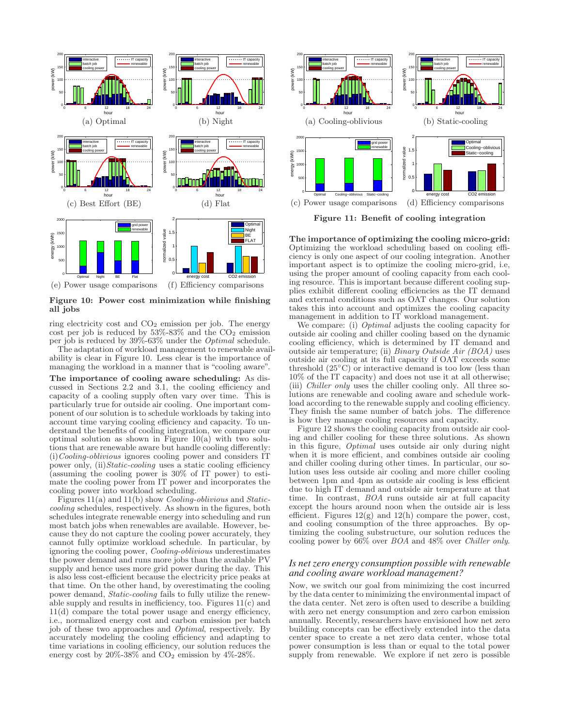

Figure 10: Power cost minimization while finishing all jobs

ring electricity cost and  $CO<sub>2</sub>$  emission per job. The energy cost per job is reduced by  $53\% - 83\%$  and the  $CO<sub>2</sub>$  emission per job is reduced by 39%-63% under the Optimal schedule.

The adaptation of workload management to renewable availability is clear in Figure 10. Less clear is the importance of managing the workload in a manner that is "cooling aware".

The importance of cooling aware scheduling: As discussed in Sections 2.2 and 3.1, the cooling efficiency and capacity of a cooling supply often vary over time. This is particularly true for outside air cooling. One important component of our solution is to schedule workloads by taking into account time varying cooling efficiency and capacity. To understand the benefits of cooling integration, we compare our optimal solution as shown in Figure  $10(a)$  with two solutions that are renewable aware but handle cooling differently: (i)Cooling-oblivious ignores cooling power and considers IT power only, (ii) Static-cooling uses a static cooling efficiency (assuming the cooling power is 30% of IT power) to estimate the cooling power from IT power and incorporates the cooling power into workload scheduling.

Figures 11(a) and 11(b) show Cooling-oblivious and Staticcooling schedules, respectively. As shown in the figures, both schedules integrate renewable energy into scheduling and run most batch jobs when renewables are available. However, because they do not capture the cooling power accurately, they cannot fully optimize workload schedule. In particular, by ignoring the cooling power, Cooling-oblivious underestimates the power demand and runs more jobs than the available PV supply and hence uses more grid power during the day. This is also less cost-efficient because the electricity price peaks at that time. On the other hand, by overestimating the cooling power demand, Static-cooling fails to fully utilize the renewable supply and results in inefficiency, too. Figures 11(c) and 11(d) compare the total power usage and energy efficiency, i.e., normalized energy cost and carbon emission per batch job of these two approaches and Optimal, respectively. By accurately modeling the cooling efficiency and adapting to time variations in cooling efficiency, our solution reduces the energy cost by  $20\%$ -38% and  $CO<sub>2</sub>$  emission by  $4\%$ -28%.



Figure 11: Benefit of cooling integration

The importance of optimizing the cooling micro-grid: Optimizing the workload scheduling based on cooling efficiency is only one aspect of our cooling integration. Another important aspect is to optimize the cooling micro-grid, i.e, using the proper amount of cooling capacity from each cooling resource. This is important because different cooling supplies exhibit different cooling efficiencies as the IT demand and external conditions such as OAT changes. Our solution takes this into account and optimizes the cooling capacity management in addition to IT workload management.

We compare: (i) *Optimal* adjusts the cooling capacity for outside air cooling and chiller cooling based on the dynamic cooling efficiency, which is determined by IT demand and outside air temperature; (ii) Binary Outside Air (BOA) uses outside air cooling at its full capacity if OAT exceeds some threshold  $(25°C)$  or interactive demand is too low (less than 10% of the IT capacity) and does not use it at all otherwise; (iii) Chiller only uses the chiller cooling only. All three solutions are renewable and cooling aware and schedule workload according to the renewable supply and cooling efficiency. They finish the same number of batch jobs. The difference is how they manage cooling resources and capacity.

Figure 12 shows the cooling capacity from outside air cooling and chiller cooling for these three solutions. As shown in this figure, Optimal uses outside air only during night when it is more efficient, and combines outside air cooling and chiller cooling during other times. In particular, our solution uses less outside air cooling and more chiller cooling between 1pm and 4pm as outside air cooling is less efficient due to high IT demand and outside air temperature at that time. In contrast, BOA runs outside air at full capacity except the hours around noon when the outside air is less efficient. Figures  $12(g)$  and  $12(h)$  compare the power, cost, and cooling consumption of the three approaches. By optimizing the cooling substructure, our solution reduces the cooling power by 66% over BOA and 48% over Chiller only.

## *Is net zero energy consumption possible with renewable and cooling aware workload management?*

Now, we switch our goal from minimizing the cost incurred by the data center to minimizing the environmental impact of the data center. Net zero is often used to describe a building with zero net energy consumption and zero carbon emission annually. Recently, researchers have envisioned how net zero building concepts can be effectively extended into the data center space to create a net zero data center, whose total power consumption is less than or equal to the total power supply from renewable. We explore if net zero is possible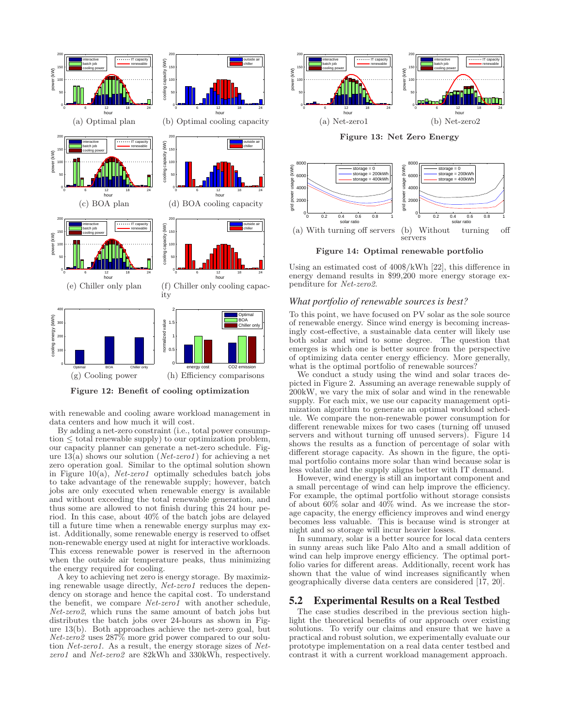

Figure 12: Benefit of cooling optimization

with renewable and cooling aware workload management in data centers and how much it will cost.

By adding a net-zero constraint (i.e., total power consumption  $\leq$  total renewable supply) to our optimization problem, our capacity planner can generate a net-zero schedule. Figure 13(a) shows our solution ( $Net\text{-}zero1$ ) for achieving a net zero operation goal. Similar to the optimal solution shown in Figure 10(a),  $Net\text{-}zero1$  optimally schedules batch jobs to take advantage of the renewable supply; however, batch jobs are only executed when renewable energy is available and without exceeding the total renewable generation, and thus some are allowed to not finish during this 24 hour period. In this case, about 40% of the batch jobs are delayed till a future time when a renewable energy surplus may exist. Additionally, some renewable energy is reserved to offset non-renewable energy used at night for interactive workloads. This excess renewable power is reserved in the afternoon when the outside air temperature peaks, thus minimizing the energy required for cooling.

A key to achieving net zero is energy storage. By maximizing renewable usage directly, Net-zero1 reduces the dependency on storage and hence the capital cost. To understand the benefit, we compare Net-zero1 with another schedule, Net-zero2, which runs the same amount of batch jobs but distributes the batch jobs over 24-hours as shown in Figure 13(b). Both approaches achieve the net-zero goal, but  $Net\text{-}zero\text{2}$  uses  $287\%$  more grid power compared to our solution Net-zero1. As a result, the energy storage sizes of Netzero1 and Net-zero2 are 82kWh and 330kWh, respectively.



Figure 14: Optimal renewable portfolio

Using an estimated cost of 400\$/kWh [22], this difference in energy demand results in \$99,200 more energy storage expenditure for Net-zero2.

## *What portfolio of renewable sources is best?*

To this point, we have focused on PV solar as the sole source of renewable energy. Since wind energy is becoming increasingly cost-effective, a sustainable data center will likely use both solar and wind to some degree. The question that emerges is which one is better source from the perspective of optimizing data center energy efficiency. More generally, what is the optimal portfolio of renewable sources?

We conduct a study using the wind and solar traces depicted in Figure 2. Assuming an average renewable supply of 200kW, we vary the mix of solar and wind in the renewable supply. For each mix, we use our capacity management optimization algorithm to generate an optimal workload schedule. We compare the non-renewable power consumption for different renewable mixes for two cases (turning off unused servers and without turning off unused servers). Figure 14 shows the results as a function of percentage of solar with different storage capacity. As shown in the figure, the optimal portfolio contains more solar than wind because solar is less volatile and the supply aligns better with IT demand.

However, wind energy is still an important component and a small percentage of wind can help improve the efficiency. For example, the optimal portfolio without storage consists of about  $60\%$  solar and  $40\%$  wind. As we increase the storage capacity, the energy efficiency improves and wind energy becomes less valuable. This is because wind is stronger at night and so storage will incur heavier losses.

In summary, solar is a better source for local data centers in sunny areas such like Palo Alto and a small addition of wind can help improve energy efficiency. The optimal portfolio varies for different areas. Additionally, recent work has shown that the value of wind increases significantly when geographically diverse data centers are considered [17, 20].

## 5.2 Experimental Results on a Real Testbed

The case studies described in the previous section highlight the theoretical benefits of our approach over existing solutions. To verify our claims and ensure that we have a practical and robust solution, we experimentally evaluate our prototype implementation on a real data center testbed and contrast it with a current workload management approach.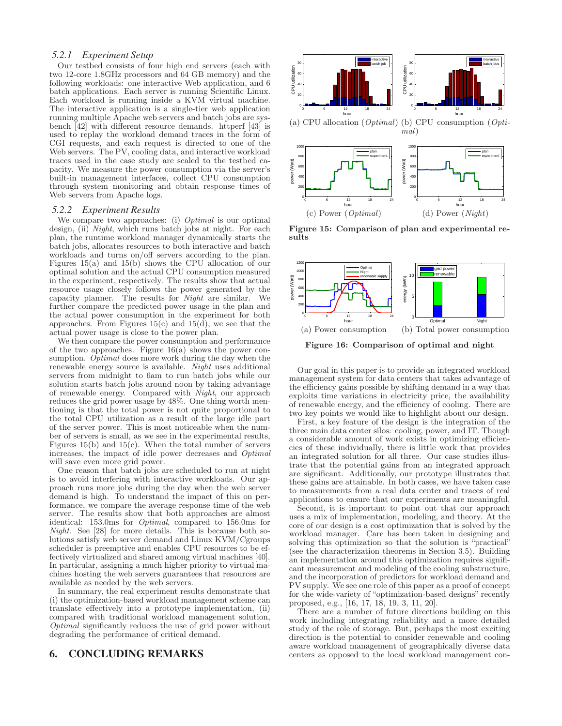## *5.2.1 Experiment Setup*

Our testbed consists of four high end servers (each with two 12-core 1.8GHz processors and 64 GB memory) and the following workloads: one interactive Web application, and 6 batch applications. Each server is running Scientific Linux. Each workload is running inside a KVM virtual machine. The interactive application is a single-tier web application running multiple Apache web servers and batch jobs are sysbench  $\overline{42}$  with different resource demands. httperf  $\overline{43}$  is used to replay the workload demand traces in the form of CGI requests, and each request is directed to one of the Web servers. The PV, cooling data, and interactive workload traces used in the case study are scaled to the testbed capacity. We measure the power consumption via the server's built-in management interfaces, collect CPU consumption through system monitoring and obtain response times of Web servers from Apache logs.

## *5.2.2 Experiment Results*

We compare two approaches: (i) *Optimal* is our optimal design, (ii) *Night*, which runs batch jobs at night. For each plan, the runtime workload manager dynamically starts the batch jobs, allocates resources to both interactive and batch workloads and turns on/off servers according to the plan. Figures 15(a) and 15(b) shows the CPU allocation of our optimal solution and the actual CPU consumption measured in the experiment, respectively. The results show that actual resource usage closely follows the power generated by the capacity planner. The results for Night are similar. We further compare the predicted power usage in the plan and the actual power consumption in the experiment for both approaches. From Figures  $15(c)$  and  $15(d)$ , we see that the actual power usage is close to the power plan.

We then compare the power consumption and performance of the two approaches. Figure  $16(a)$  shows the power consumption. Optimal does more work during the day when the renewable energy source is available. Night uses additional servers from midnight to 6am to run batch jobs while our solution starts batch jobs around noon by taking advantage of renewable energy. Compared with Night, our approach reduces the grid power usage by 48%. One thing worth mentioning is that the total power is not quite proportional to the total CPU utilization as a result of the large idle part of the server power. This is most noticeable when the number of servers is small, as we see in the experimental results, Figures  $15(b)$  and  $15(c)$ . When the total number of servers increases, the impact of idle power decreases and Optimal will save even more grid power.

One reason that batch jobs are scheduled to run at night is to avoid interfering with interactive workloads. Our approach runs more jobs during the day when the web server demand is high. To understand the impact of this on performance, we compare the average response time of the web server. The results show that both approaches are almost identical: 153.0ms for Optimal, compared to 156.0ms for Night. See [28] for more details. This is because both solutions satisfy web server demand and Linux KVM/Cgroups scheduler is preemptive and enables CPU resources to be effectively virtualized and shared among virtual machines [40]. In particular, assigning a much higher priority to virtual machines hosting the web servers guarantees that resources are available as needed by the web servers.

In summary, the real experiment results demonstrate that (i) the optimization-based workload management scheme can translate effectively into a prototype implementation, (ii) compared with traditional workload management solution, Optimal significantly reduces the use of grid power without degrading the performance of critical demand.

# 6. CONCLUDING REMARKS



Figure 15: Comparison of plan and experimental results

(d) Power (Night)

(c) Power (Optimal)



Figure 16: Comparison of optimal and night

Our goal in this paper is to provide an integrated workload management system for data centers that takes advantage of the efficiency gains possible by shifting demand in a way that exploits time variations in electricity price, the availability of renewable energy, and the efficiency of cooling. There are two key points we would like to highlight about our design.

First, a key feature of the design is the integration of the three main data center silos: cooling, power, and IT. Though a considerable amount of work exists in optimizing efficiencies of these individually, there is little work that provides an integrated solution for all three. Our case studies illustrate that the potential gains from an integrated approach are significant. Additionally, our prototype illustrates that these gains are attainable. In both cases, we have taken case to measurements from a real data center and traces of real applications to ensure that our experiments are meaningful.

Second, it is important to point out that our approach uses a mix of implementation, modeling, and theory. At the core of our design is a cost optimization that is solved by the workload manager. Care has been taken in designing and solving this optimization so that the solution is "practical" (see the characterization theorems in Section 3.5). Building an implementation around this optimization requires significant measurement and modeling of the cooling substructure, and the incorporation of predictors for workload demand and PV supply. We see one role of this paper as a proof of concept for the wide-variety of "optimization-based designs" recently proposed, e.g., [16, 17, 18, 19, 3, 11, 20].

There are a number of future directions building on this work including integrating reliability and a more detailed study of the role of storage. But, perhaps the most exciting direction is the potential to consider renewable and cooling aware workload management of geographically diverse data centers as opposed to the local workload management con